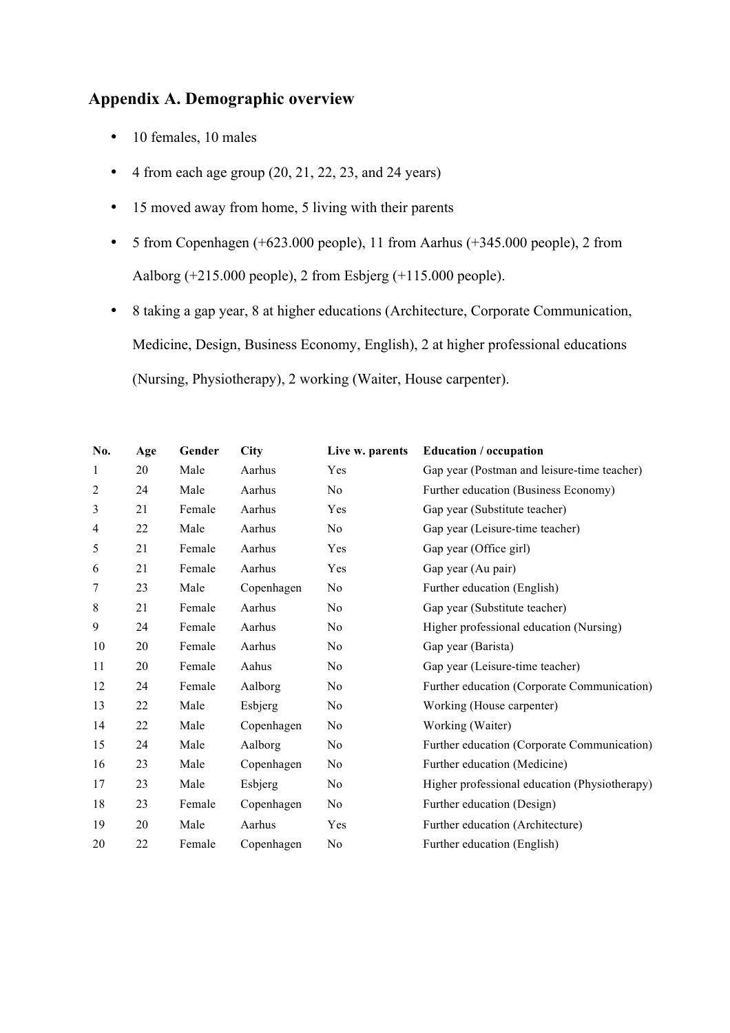### **Appendix A. Demographic overview**

- 10 females, 10 males
- $\bullet$  4 from each age group (20, 21, 22, 23, and 24 years)
- 15 moved away from home, 5 living with their parents
- 5 from Copenhagen (+623.000 people), 11 from Aarhus (+345.000 people), 2 from Aalborg (+215.000 people), 2 from Esbjerg (+115.000 people).
- 8 taking a gap year, 8 at higher educations (Architecture, Corporate Communication, Medicine, Design, Business Economy, English), 2 at higher professional educations (Nursing, Physiotherapy), 2 working (Waiter, House carpenter).

| No.            | Age | Gender | <b>City</b> | Live w. parents | <b>Education</b> / occupation                 |
|----------------|-----|--------|-------------|-----------------|-----------------------------------------------|
| 1              | 20  | Male   | Aarhus      | Yes             | Gap year (Postman and leisure-time teacher)   |
| $\overline{c}$ | 24  | Male   | Aarhus      | No              | Further education (Business Economy)          |
| 3              | 21  | Female | Aarhus      | Yes             | Gap year (Substitute teacher)                 |
| 4              | 22  | Male   | Aarhus      | No.             | Gap year (Leisure-time teacher)               |
| 5              | 21  | Female | Aarhus      | Yes             | Gap year (Office girl)                        |
| 6              | 21  | Female | Aarhus      | Yes             | Gap year (Au pair)                            |
| 7              | 23  | Male   | Copenhagen  | No              | Further education (English)                   |
| 8              | 21  | Female | Aarhus      | N <sub>0</sub>  | Gap year (Substitute teacher)                 |
| 9              | 24  | Female | Aarhus      | N <sub>0</sub>  | Higher professional education (Nursing)       |
| 10             | 20  | Female | Aarhus      | N <sub>0</sub>  | Gap year (Barista)                            |
| 11             | 20  | Female | Aahus       | N <sub>0</sub>  | Gap year (Leisure-time teacher)               |
| 12             | 24  | Female | Aalborg     | N <sub>0</sub>  | Further education (Corporate Communication)   |
| 13             | 22  | Male   | Esbjerg     | No              | Working (House carpenter)                     |
| 14             | 22  | Male   | Copenhagen  | No              | Working (Waiter)                              |
| 15             | 24  | Male   | Aalborg     | N <sub>0</sub>  | Further education (Corporate Communication)   |
| 16             | 23  | Male   | Copenhagen  | No              | Further education (Medicine)                  |
| 17             | 23  | Male   | Esbjerg     | No              | Higher professional education (Physiotherapy) |
| 18             | 23  | Female | Copenhagen  | N <sub>0</sub>  | Further education (Design)                    |
| 19             | 20  | Male   | Aarhus      | Yes             | Further education (Architecture)              |
| 20             | 22  | Female | Copenhagen  | N <sub>0</sub>  | Further education (English)                   |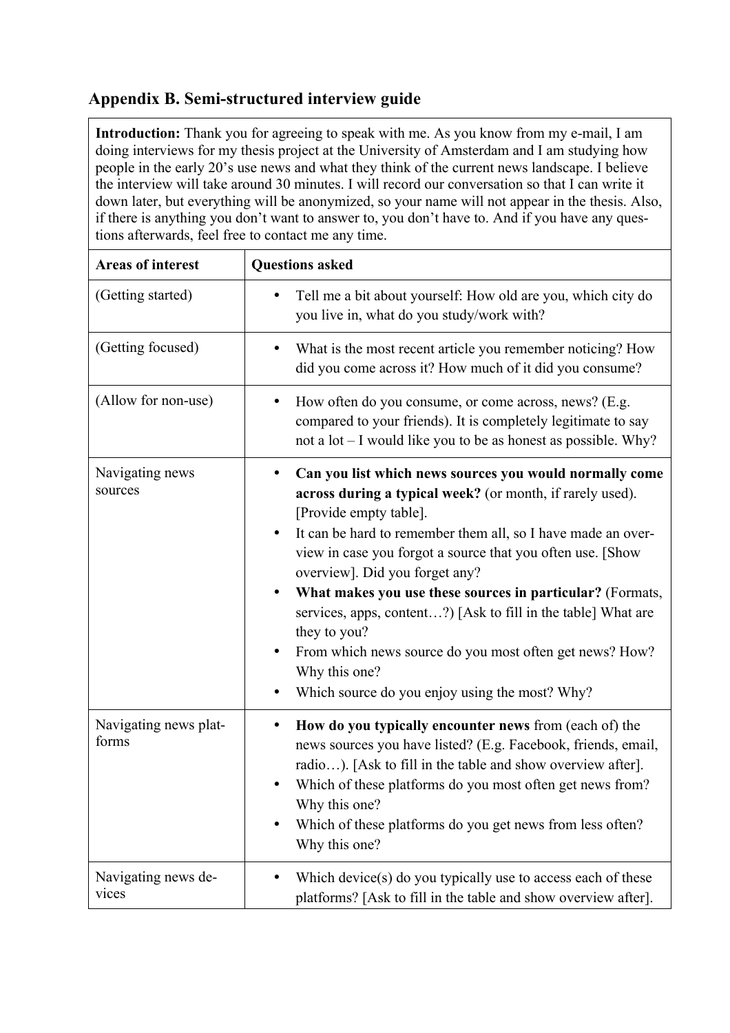### **Appendix B. Semi-structured interview guide**

**Introduction:** Thank you for agreeing to speak with me. As you know from my e-mail, I am doing interviews for my thesis project at the University of Amsterdam and I am studying how people in the early 20's use news and what they think of the current news landscape. I believe the interview will take around 30 minutes. I will record our conversation so that I can write it down later, but everything will be anonymized, so your name will not appear in the thesis. Also, if there is anything you don't want to answer to, you don't have to. And if you have any questions afterwards, feel free to contact me any time.

| Areas of interest              | <b>Questions asked</b>                                                                                                                                                                                                                                                                                                                                                                                                                                                                                                                                                                                    |
|--------------------------------|-----------------------------------------------------------------------------------------------------------------------------------------------------------------------------------------------------------------------------------------------------------------------------------------------------------------------------------------------------------------------------------------------------------------------------------------------------------------------------------------------------------------------------------------------------------------------------------------------------------|
| (Getting started)              | Tell me a bit about yourself: How old are you, which city do<br>you live in, what do you study/work with?                                                                                                                                                                                                                                                                                                                                                                                                                                                                                                 |
| (Getting focused)              | What is the most recent article you remember noticing? How<br>٠<br>did you come across it? How much of it did you consume?                                                                                                                                                                                                                                                                                                                                                                                                                                                                                |
| (Allow for non-use)            | How often do you consume, or come across, news? (E.g.<br>compared to your friends). It is completely legitimate to say<br>not a lot – I would like you to be as honest as possible. Why?                                                                                                                                                                                                                                                                                                                                                                                                                  |
| Navigating news<br>sources     | Can you list which news sources you would normally come<br>across during a typical week? (or month, if rarely used).<br>[Provide empty table].<br>It can be hard to remember them all, so I have made an over-<br>view in case you forgot a source that you often use. [Show<br>overview]. Did you forget any?<br>What makes you use these sources in particular? (Formats,<br>٠<br>services, apps, content?) [Ask to fill in the table] What are<br>they to you?<br>From which news source do you most often get news? How?<br>٠<br>Why this one?<br>Which source do you enjoy using the most? Why?<br>٠ |
| Navigating news plat-<br>forms | How do you typically encounter news from (each of) the<br>٠<br>news sources you have listed? (E.g. Facebook, friends, email,<br>radio). [Ask to fill in the table and show overview after].<br>Which of these platforms do you most often get news from?<br>Why this one?<br>Which of these platforms do you get news from less often?<br>٠<br>Why this one?                                                                                                                                                                                                                                              |
| Navigating news de-<br>vices   | Which device(s) do you typically use to access each of these<br>platforms? [Ask to fill in the table and show overview after].                                                                                                                                                                                                                                                                                                                                                                                                                                                                            |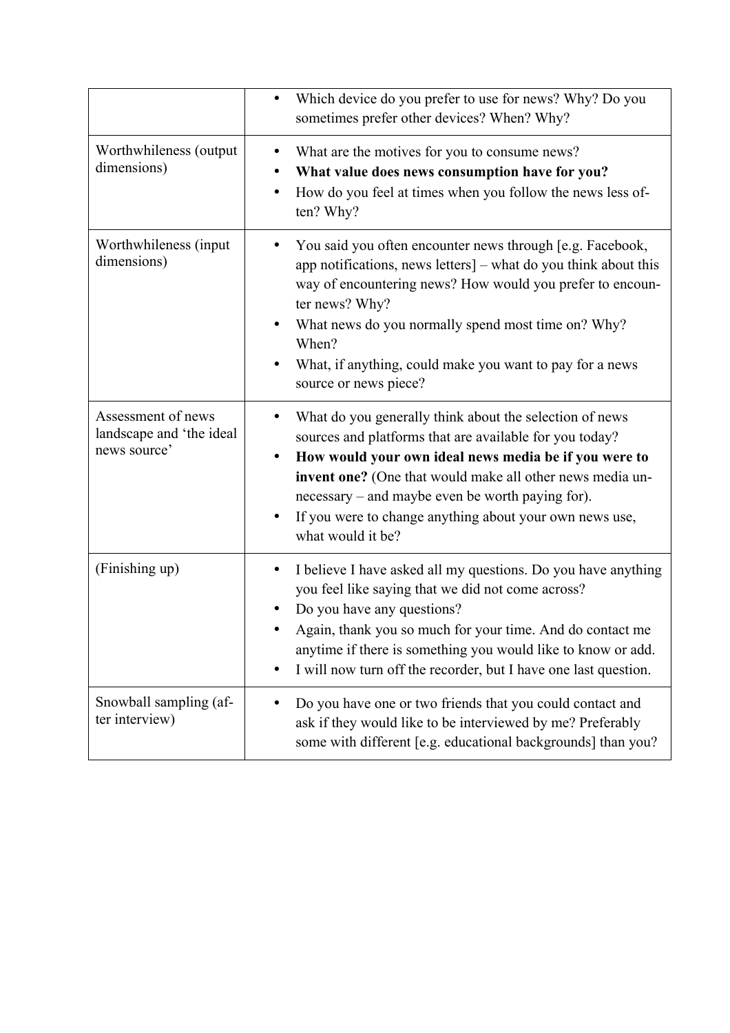|                                                                | Which device do you prefer to use for news? Why? Do you<br>$\bullet$<br>sometimes prefer other devices? When? Why?                                                                                                                                                                                                                                                                |
|----------------------------------------------------------------|-----------------------------------------------------------------------------------------------------------------------------------------------------------------------------------------------------------------------------------------------------------------------------------------------------------------------------------------------------------------------------------|
| Worthwhileness (output<br>dimensions)                          | What are the motives for you to consume news?<br>٠<br>What value does news consumption have for you?<br>How do you feel at times when you follow the news less of-<br>٠<br>ten? Why?                                                                                                                                                                                              |
| Worthwhileness (input<br>dimensions)                           | You said you often encounter news through [e.g. Facebook,<br>app notifications, news letters] – what do you think about this<br>way of encountering news? How would you prefer to encoun-<br>ter news? Why?<br>What news do you normally spend most time on? Why?<br>When?<br>What, if anything, could make you want to pay for a news<br>source or news piece?                   |
| Assessment of news<br>landscape and 'the ideal<br>news source' | What do you generally think about the selection of news<br>sources and platforms that are available for you today?<br>How would your own ideal news media be if you were to<br>٠<br>invent one? (One that would make all other news media un-<br>necessary – and maybe even be worth paying for).<br>If you were to change anything about your own news use,<br>what would it be? |
| (Finishing up)                                                 | I believe I have asked all my questions. Do you have anything<br>$\bullet$<br>you feel like saying that we did not come across?<br>Do you have any questions?<br>Again, thank you so much for your time. And do contact me<br>anytime if there is something you would like to know or add.<br>I will now turn off the recorder, but I have one last question.                     |
| Snowball sampling (af-<br>ter interview)                       | Do you have one or two friends that you could contact and<br>ask if they would like to be interviewed by me? Preferably<br>some with different [e.g. educational backgrounds] than you?                                                                                                                                                                                           |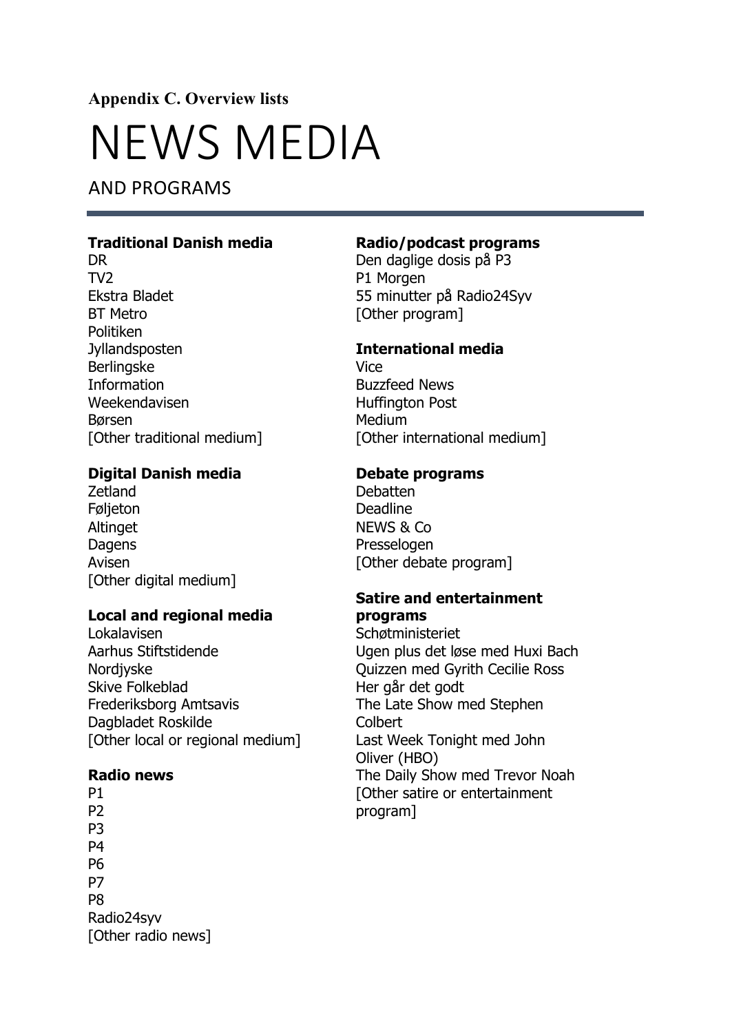**Appendix C. Overview lists**

## NEWS MEDIA

AND PROGRAMS

### **Traditional Danish media**

DR TV2 Ekstra Bladet BT Metro Politiken Jyllandsposten Berlingske **Information** Weekendavisen Børsen [Other traditional medium]

### **Digital Danish media**

Zetland Føljeton Altinget **Dagens** Avisen [Other digital medium]

### **Local and regional media**

Lokalavisen Aarhus Stiftstidende Nordjyske Skive Folkeblad Frederiksborg Amtsavis Dagbladet Roskilde [Other local or regional medium]

#### **Radio news**

P1 P2 P3 **P4** P6 P7 P8 Radio24syv [Other radio news]

### **Radio/podcast programs**

Den daglige dosis på P3 P1 Morgen 55 minutter på Radio24Syv [Other program]

### **International media**

Vice Buzzfeed News Huffington Post Medium [Other international medium]

### **Debate programs**

Debatten Deadline NEWS & Co Presselogen [Other debate program]

### **Satire and entertainment programs**

Schøtministeriet Ugen plus det løse med Huxi Bach Quizzen med Gyrith Cecilie Ross Her går det godt The Late Show med Stephen **Colbert** Last Week Tonight med John Oliver (HBO) The Daily Show med Trevor Noah [Other satire or entertainment program]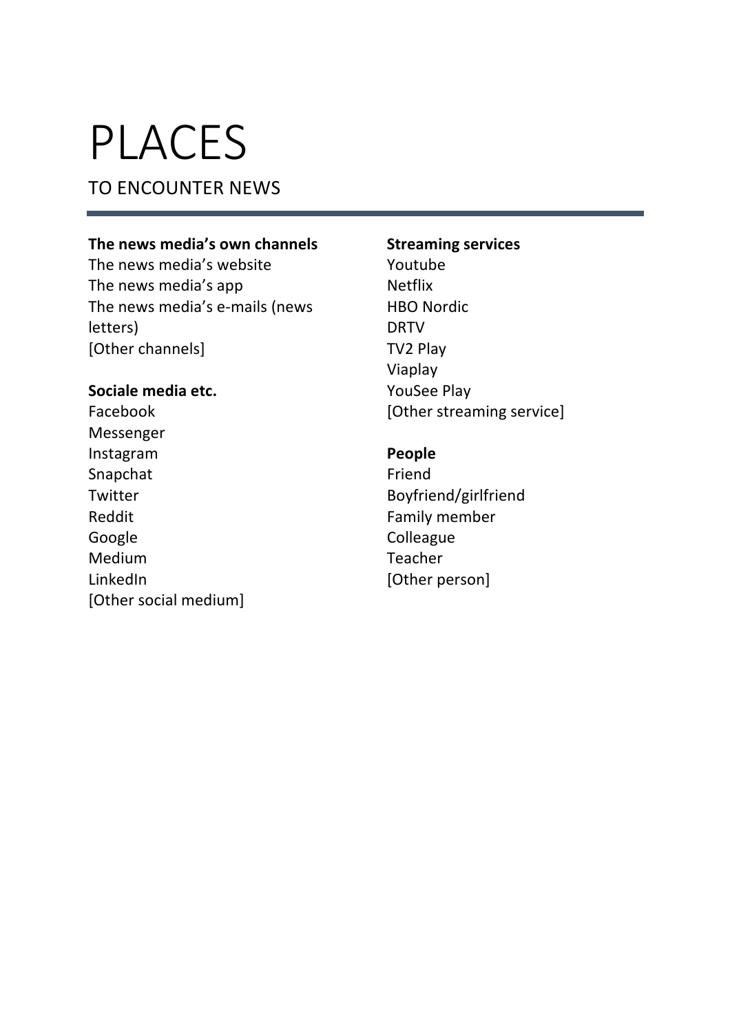# PLACES

### TO ENCOUNTER NEWS

### The news media's own channels

The news media's website The news media's app The news media's e-mails (news letters) [Other channels]

### Sociale media etc.

Facebook Messenger Instagram Snapchat Twitter Reddit Google Medium LinkedIn [Other social medium]

### **Streaming services**

Youtube Netflix **HBO** Nordic DRTV TV2 Play Viaplay YouSee Play [Other streaming service]

### **People**

Friend Boyfriend/girlfriend Family member **Colleague** Teacher [Other person]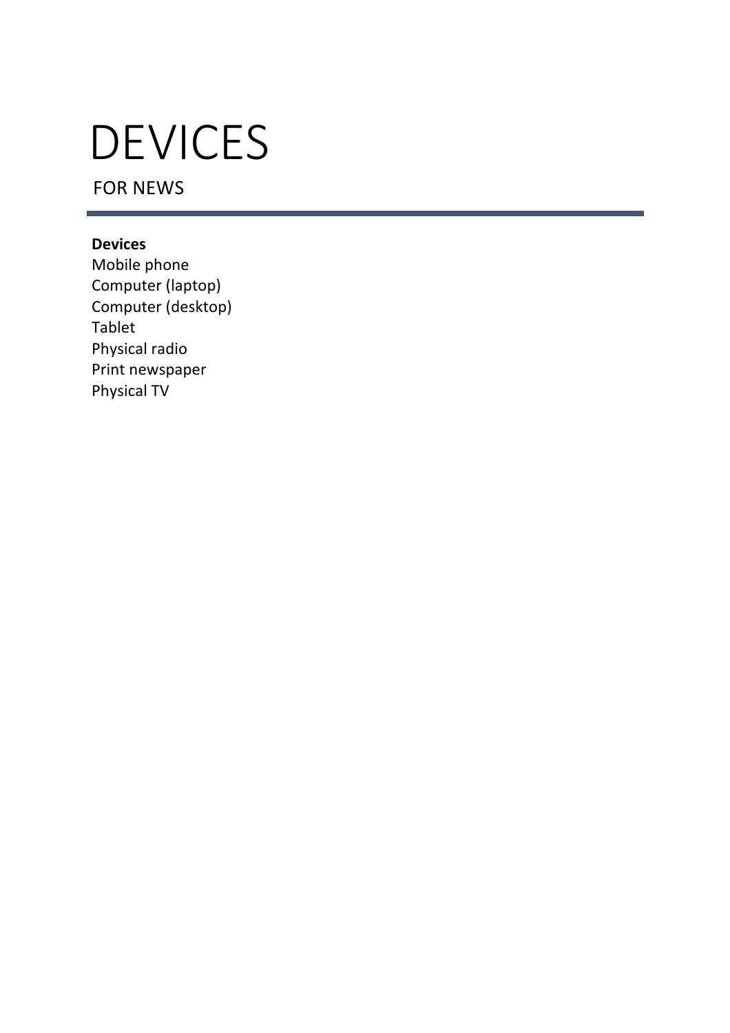# DEVICES

FOR NEWS

### **Devices**

Mobile phone Computer (laptop) Computer (desktop) Tablet Physical radio Print newspaper Physical TV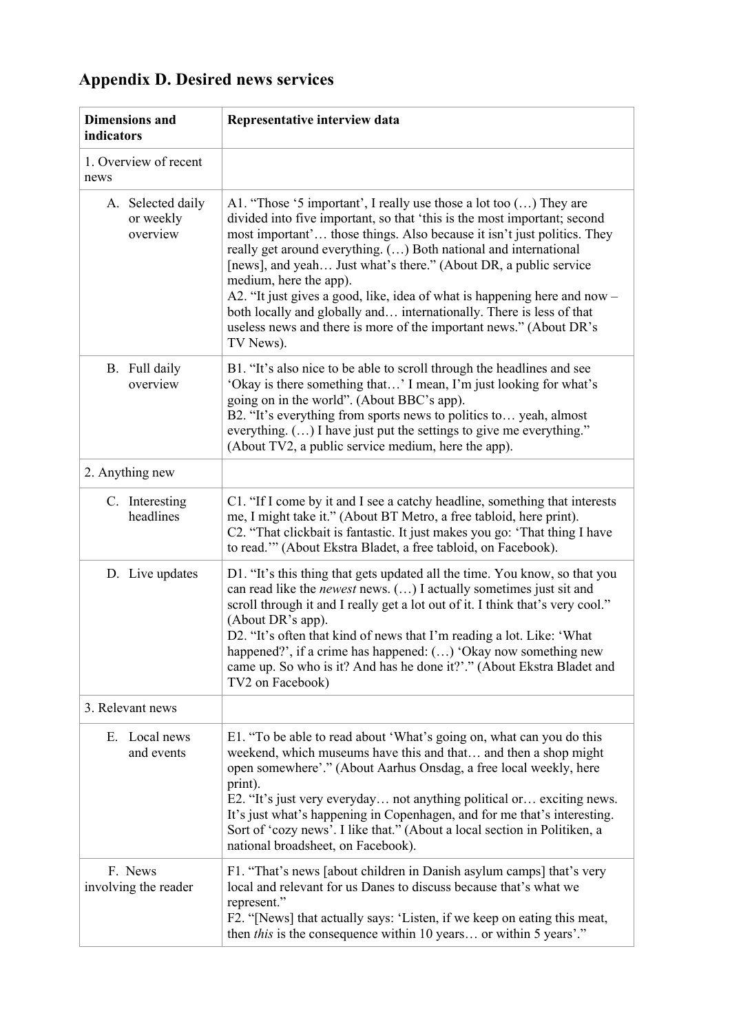## **Appendix D. Desired news services**

| <b>Dimensions</b> and<br>indicators        | Representative interview data                                                                                                                                                                                                                                                                                                                                                                                                                                                                                                                                                                                                       |  |
|--------------------------------------------|-------------------------------------------------------------------------------------------------------------------------------------------------------------------------------------------------------------------------------------------------------------------------------------------------------------------------------------------------------------------------------------------------------------------------------------------------------------------------------------------------------------------------------------------------------------------------------------------------------------------------------------|--|
| 1. Overview of recent<br>news              |                                                                                                                                                                                                                                                                                                                                                                                                                                                                                                                                                                                                                                     |  |
| A. Selected daily<br>or weekly<br>overview | A1. "Those '5 important', I really use those a lot too () They are<br>divided into five important, so that 'this is the most important; second<br>most important' those things. Also because it isn't just politics. They<br>really get around everything. () Both national and international<br>[news], and yeah Just what's there." (About DR, a public service<br>medium, here the app).<br>A2. "It just gives a good, like, idea of what is happening here and now –<br>both locally and globally and internationally. There is less of that<br>useless news and there is more of the important news." (About DR's<br>TV News). |  |
| B. Full daily<br>overview                  | B1. "It's also nice to be able to scroll through the headlines and see<br>'Okay is there something that' I mean, I'm just looking for what's<br>going on in the world". (About BBC's app).<br>B2. "It's everything from sports news to politics to yeah, almost<br>everything. () I have just put the settings to give me everything."<br>(About TV2, a public service medium, here the app).                                                                                                                                                                                                                                       |  |
| 2. Anything new                            |                                                                                                                                                                                                                                                                                                                                                                                                                                                                                                                                                                                                                                     |  |
| C. Interesting<br>headlines                | C1. "If I come by it and I see a catchy headline, something that interests<br>me, I might take it." (About BT Metro, a free tabloid, here print).<br>C2. "That clickbait is fantastic. It just makes you go: 'That thing I have<br>to read." (About Ekstra Bladet, a free tabloid, on Facebook).                                                                                                                                                                                                                                                                                                                                    |  |
| D. Live updates                            | D1. "It's this thing that gets updated all the time. You know, so that you<br>can read like the newest news. () I actually sometimes just sit and<br>scroll through it and I really get a lot out of it. I think that's very cool."<br>(About DR's app).<br>D2. "It's often that kind of news that I'm reading a lot. Like: 'What<br>happened?', if a crime has happened: () 'Okay now something new<br>came up. So who is it? And has he done it?'." (About Ekstra Bladet and<br>TV2 on Facebook)                                                                                                                                  |  |
| 3. Relevant news                           |                                                                                                                                                                                                                                                                                                                                                                                                                                                                                                                                                                                                                                     |  |
| E. Local news<br>and events                | E1. "To be able to read about 'What's going on, what can you do this<br>weekend, which museums have this and that and then a shop might<br>open somewhere'." (About Aarhus Onsdag, a free local weekly, here<br>print).<br>E2. "It's just very everyday not anything political or exciting news.<br>It's just what's happening in Copenhagen, and for me that's interesting.<br>Sort of 'cozy news'. I like that." (About a local section in Politiken, a<br>national broadsheet, on Facebook).                                                                                                                                     |  |
| F. News<br>involving the reader            | F1. "That's news [about children in Danish asylum camps] that's very<br>local and relevant for us Danes to discuss because that's what we<br>represent."<br>F2. "[News] that actually says: 'Listen, if we keep on eating this meat,<br>then <i>this</i> is the consequence within 10 years or within 5 years'."                                                                                                                                                                                                                                                                                                                    |  |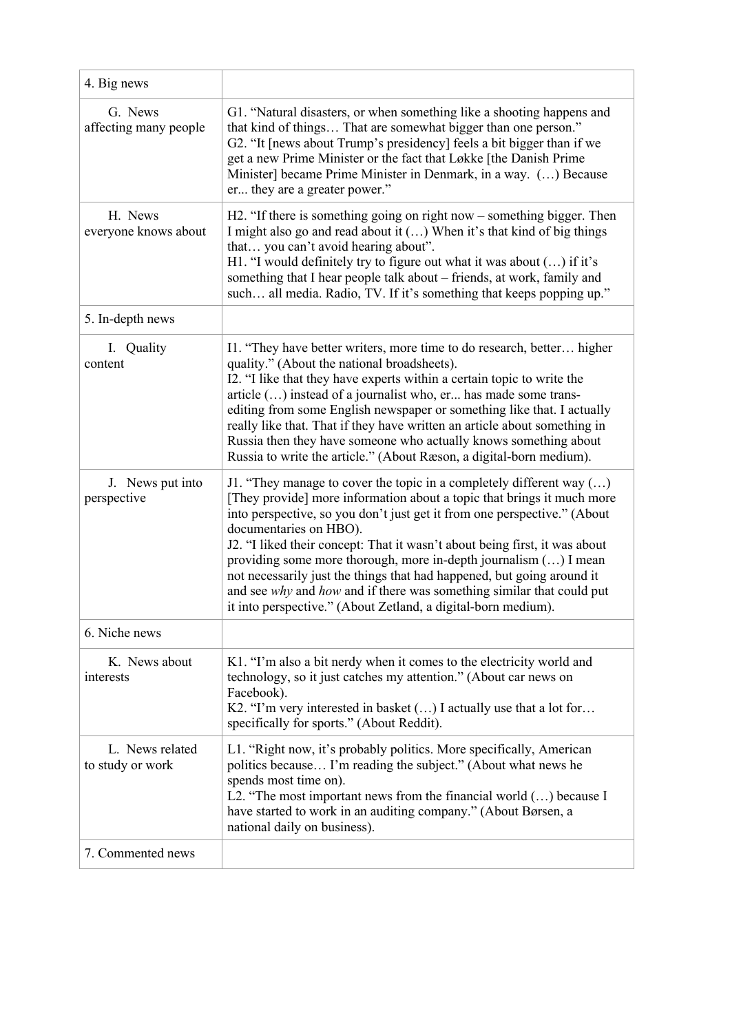| 4. Big news                         |                                                                                                                                                                                                                                                                                                                                                                                                                                                                                                                                                                                                                              |
|-------------------------------------|------------------------------------------------------------------------------------------------------------------------------------------------------------------------------------------------------------------------------------------------------------------------------------------------------------------------------------------------------------------------------------------------------------------------------------------------------------------------------------------------------------------------------------------------------------------------------------------------------------------------------|
| G. News<br>affecting many people    | G1. "Natural disasters, or when something like a shooting happens and<br>that kind of things That are somewhat bigger than one person."<br>G2. "It [news about Trump's presidency] feels a bit bigger than if we<br>get a new Prime Minister or the fact that Løkke [the Danish Prime<br>Minister] became Prime Minister in Denmark, in a way. () Because<br>er they are a greater power."                                                                                                                                                                                                                                   |
| H. News<br>everyone knows about     | H2. "If there is something going on right now $-$ something bigger. Then<br>I might also go and read about it () When it's that kind of big things<br>that you can't avoid hearing about".<br>H1. "I would definitely try to figure out what it was about () if it's<br>something that I hear people talk about - friends, at work, family and<br>such all media. Radio, TV. If it's something that keeps popping up."                                                                                                                                                                                                       |
| 5. In-depth news                    |                                                                                                                                                                                                                                                                                                                                                                                                                                                                                                                                                                                                                              |
| I. Quality<br>content               | I1. "They have better writers, more time to do research, better higher<br>quality." (About the national broadsheets).<br>I2. "I like that they have experts within a certain topic to write the<br>article () instead of a journalist who, er has made some trans-<br>editing from some English newspaper or something like that. I actually<br>really like that. That if they have written an article about something in<br>Russia then they have someone who actually knows something about<br>Russia to write the article." (About Ræson, a digital-born medium).                                                         |
| J. News put into<br>perspective     | J1. "They manage to cover the topic in a completely different way $()$<br>[They provide] more information about a topic that brings it much more<br>into perspective, so you don't just get it from one perspective." (About<br>documentaries on HBO).<br>J2. "I liked their concept: That it wasn't about being first, it was about<br>providing some more thorough, more in-depth journalism () I mean<br>not necessarily just the things that had happened, but going around it<br>and see why and how and if there was something similar that could put<br>it into perspective." (About Zetland, a digital-born medium). |
| 6. Niche news                       |                                                                                                                                                                                                                                                                                                                                                                                                                                                                                                                                                                                                                              |
| K. News about<br>interests          | K1. "I'm also a bit nerdy when it comes to the electricity world and<br>technology, so it just catches my attention." (About car news on<br>Facebook).<br>K2. "I'm very interested in basket () I actually use that a lot for<br>specifically for sports." (About Reddit).                                                                                                                                                                                                                                                                                                                                                   |
| L. News related<br>to study or work | L1. "Right now, it's probably politics. More specifically, American<br>politics because I'm reading the subject." (About what news he<br>spends most time on).<br>L2. "The most important news from the financial world $()$ because I<br>have started to work in an auditing company." (About Børsen, a<br>national daily on business).                                                                                                                                                                                                                                                                                     |
| 7. Commented news                   |                                                                                                                                                                                                                                                                                                                                                                                                                                                                                                                                                                                                                              |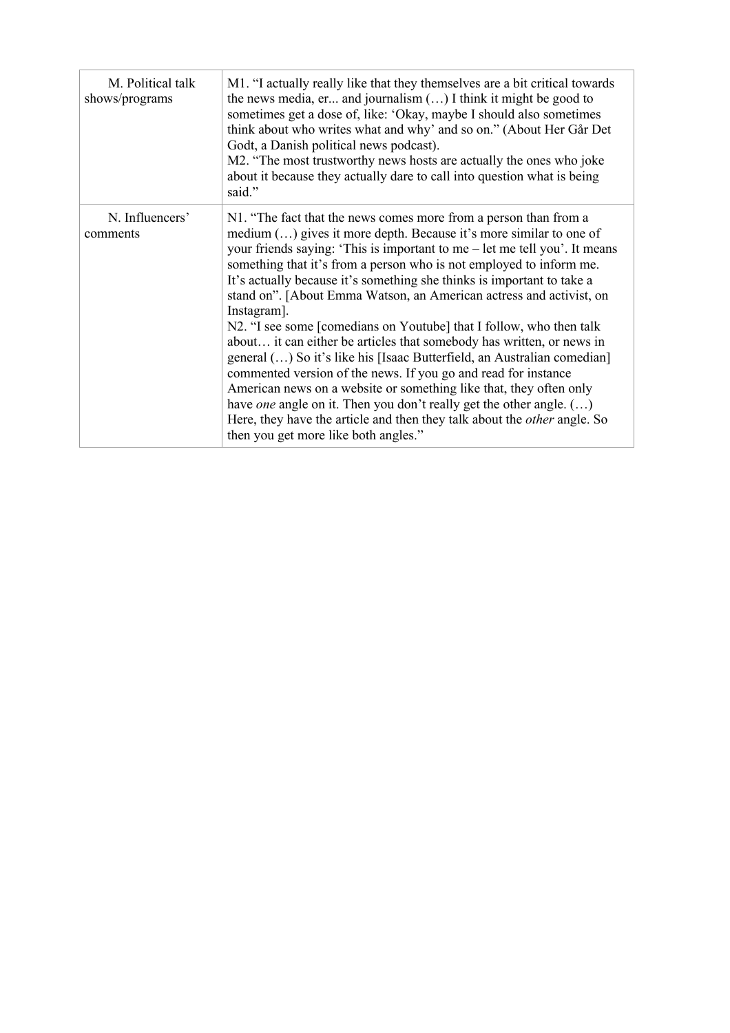| M. Political talk<br>shows/programs | M1. "I actually really like that they themselves are a bit critical towards<br>the news media, er and journalism $()$ I think it might be good to<br>sometimes get a dose of, like: 'Okay, maybe I should also sometimes<br>think about who writes what and why' and so on." (About Her Går Det<br>Godt, a Danish political news podcast).<br>M2. "The most trustworthy news hosts are actually the ones who joke<br>about it because they actually dare to call into question what is being<br>said."                                                                                                                                                                                                                                                                                                                                                                                                                                                                                                                                     |
|-------------------------------------|--------------------------------------------------------------------------------------------------------------------------------------------------------------------------------------------------------------------------------------------------------------------------------------------------------------------------------------------------------------------------------------------------------------------------------------------------------------------------------------------------------------------------------------------------------------------------------------------------------------------------------------------------------------------------------------------------------------------------------------------------------------------------------------------------------------------------------------------------------------------------------------------------------------------------------------------------------------------------------------------------------------------------------------------|
| N. Influencers'<br>comments         | N1. "The fact that the news comes more from a person than from a<br>medium () gives it more depth. Because it's more similar to one of<br>your friends saying: 'This is important to me $-$ let me tell you'. It means<br>something that it's from a person who is not employed to inform me.<br>It's actually because it's something she thinks is important to take a<br>stand on". [About Emma Watson, an American actress and activist, on<br>Instagram].<br>N2. "I see some [comedians on Youtube] that I follow, who then talk<br>about it can either be articles that somebody has written, or news in<br>general () So it's like his [Isaac Butterfield, an Australian comedian]<br>commented version of the news. If you go and read for instance<br>American news on a website or something like that, they often only<br>have one angle on it. Then you don't really get the other angle. $(\ldots)$<br>Here, they have the article and then they talk about the <i>other</i> angle. So<br>then you get more like both angles." |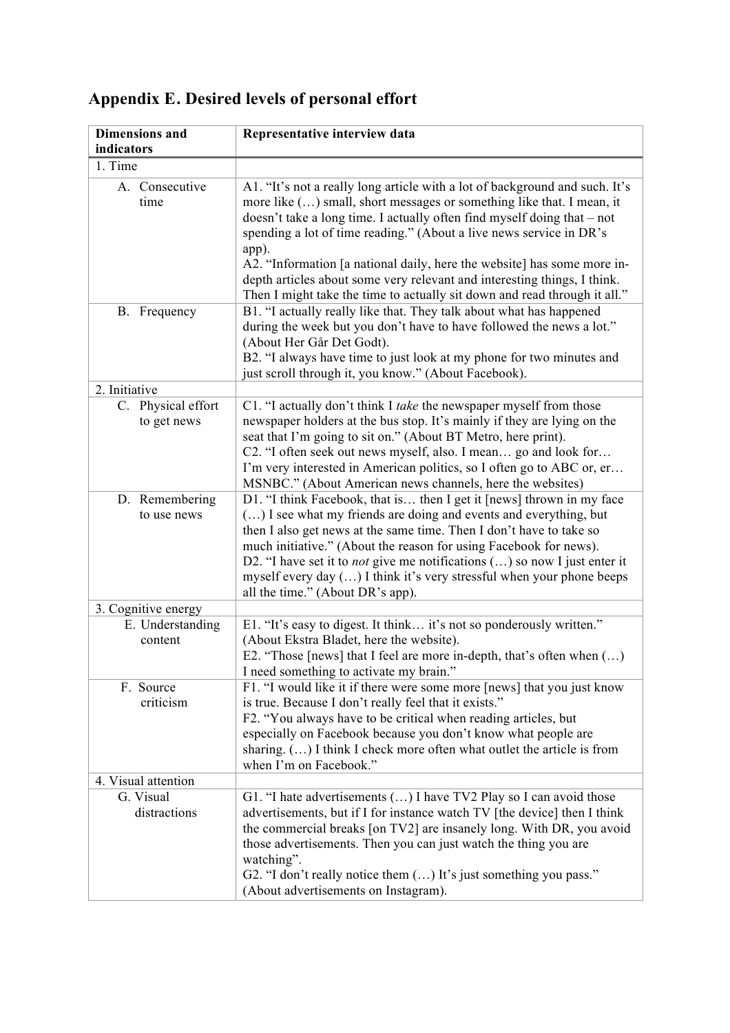| <b>Dimensions</b> and             | Representative interview data                                                                                                                                                                                                                                                                                                                                                                                                                                                                                                                       |
|-----------------------------------|-----------------------------------------------------------------------------------------------------------------------------------------------------------------------------------------------------------------------------------------------------------------------------------------------------------------------------------------------------------------------------------------------------------------------------------------------------------------------------------------------------------------------------------------------------|
| indicators                        |                                                                                                                                                                                                                                                                                                                                                                                                                                                                                                                                                     |
| 1. Time                           |                                                                                                                                                                                                                                                                                                                                                                                                                                                                                                                                                     |
| A. Consecutive<br>time            | A1. "It's not a really long article with a lot of background and such. It's<br>more like () small, short messages or something like that. I mean, it<br>doesn't take a long time. I actually often find myself doing that – not<br>spending a lot of time reading." (About a live news service in DR's<br>app).<br>A2. "Information [a national daily, here the website] has some more in-<br>depth articles about some very relevant and interesting things, I think.<br>Then I might take the time to actually sit down and read through it all." |
| B. Frequency                      | B1. "I actually really like that. They talk about what has happened<br>during the week but you don't have to have followed the news a lot."<br>(About Her Går Det Godt).<br>B2. "I always have time to just look at my phone for two minutes and<br>just scroll through it, you know." (About Facebook).                                                                                                                                                                                                                                            |
| 2. Initiative                     |                                                                                                                                                                                                                                                                                                                                                                                                                                                                                                                                                     |
| C. Physical effort<br>to get news | C1. "I actually don't think I take the newspaper myself from those<br>newspaper holders at the bus stop. It's mainly if they are lying on the<br>seat that I'm going to sit on." (About BT Metro, here print).<br>C2. "I often seek out news myself, also. I mean go and look for<br>I'm very interested in American politics, so I often go to ABC or, er<br>MSNBC." (About American news channels, here the websites)                                                                                                                             |
| D. Remembering<br>to use news     | D1. "I think Facebook, that is then I get it [news] thrown in my face<br>() I see what my friends are doing and events and everything, but<br>then I also get news at the same time. Then I don't have to take so<br>much initiative." (About the reason for using Facebook for news).<br>D2. "I have set it to <i>not</i> give me notifications $()$ so now I just enter it<br>myself every day $()$ I think it's very stressful when your phone beeps<br>all the time." (About DR's app).                                                         |
| 3. Cognitive energy               |                                                                                                                                                                                                                                                                                                                                                                                                                                                                                                                                                     |
| E. Understanding<br>content       | E1. "It's easy to digest. It think it's not so ponderously written."<br>(About Ekstra Bladet, here the website).<br>E2. "Those [news] that I feel are more in-depth, that's often when $()$<br>I need something to activate my brain."                                                                                                                                                                                                                                                                                                              |
| F. Source<br>criticism            | F1. "I would like it if there were some more [news] that you just know<br>is true. Because I don't really feel that it exists."<br>F2. "You always have to be critical when reading articles, but<br>especially on Facebook because you don't know what people are<br>sharing. () I think I check more often what outlet the article is from<br>when I'm on Facebook."                                                                                                                                                                              |
| 4. Visual attention               |                                                                                                                                                                                                                                                                                                                                                                                                                                                                                                                                                     |
| G. Visual<br>distractions         | G1. "I hate advertisements () I have TV2 Play so I can avoid those<br>advertisements, but if I for instance watch TV [the device] then I think<br>the commercial breaks [on TV2] are insanely long. With DR, you avoid<br>those advertisements. Then you can just watch the thing you are<br>watching".<br>G2. "I don't really notice them () It's just something you pass."<br>(About advertisements on Instagram).                                                                                                                                |

### Appendix E. Desired levels of personal effort